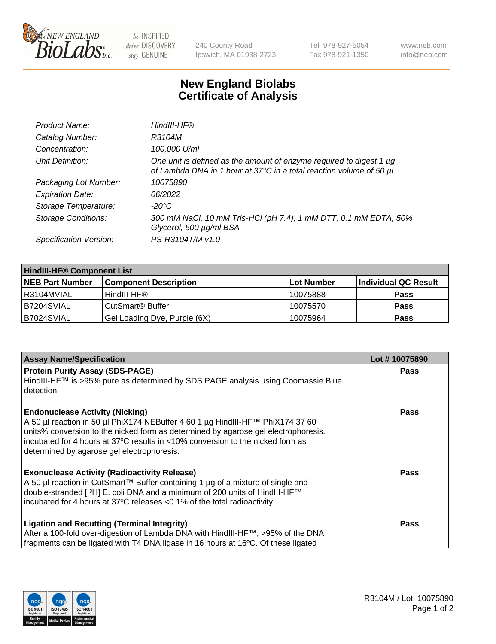

be INSPIRED drive DISCOVERY stay GENUINE

240 County Road Ipswich, MA 01938-2723 Tel 978-927-5054 Fax 978-921-1350 www.neb.com info@neb.com

## **New England Biolabs Certificate of Analysis**

| Product Name:              | HindIII-HF®                                                                                                                                 |
|----------------------------|---------------------------------------------------------------------------------------------------------------------------------------------|
| Catalog Number:            | R3104M                                                                                                                                      |
| Concentration:             | 100,000 U/ml                                                                                                                                |
| Unit Definition:           | One unit is defined as the amount of enzyme required to digest 1 µg<br>of Lambda DNA in 1 hour at 37°C in a total reaction volume of 50 µl. |
| Packaging Lot Number:      | 10075890                                                                                                                                    |
| <b>Expiration Date:</b>    | 06/2022                                                                                                                                     |
| Storage Temperature:       | $-20^{\circ}$ C                                                                                                                             |
| <b>Storage Conditions:</b> | 300 mM NaCl, 10 mM Tris-HCl (pH 7.4), 1 mM DTT, 0.1 mM EDTA, 50%<br>Glycerol, 500 µg/ml BSA                                                 |
| Specification Version:     | PS-R3104T/M v1.0                                                                                                                            |

| <b>HindIII-HF® Component List</b> |                              |            |                      |  |  |
|-----------------------------------|------------------------------|------------|----------------------|--|--|
| <b>NEB Part Number</b>            | <b>Component Description</b> | Lot Number | Individual QC Result |  |  |
| I R3104MVIAL                      | HindIII-HF®                  | 10075888   | <b>Pass</b>          |  |  |
| B7204SVIAL                        | CutSmart <sup>®</sup> Buffer | 10075570   | <b>Pass</b>          |  |  |
| B7024SVIAL                        | Gel Loading Dye, Purple (6X) | 10075964   | <b>Pass</b>          |  |  |

| <b>Assay Name/Specification</b>                                                                                                                                      | Lot #10075890 |
|----------------------------------------------------------------------------------------------------------------------------------------------------------------------|---------------|
| <b>Protein Purity Assay (SDS-PAGE)</b>                                                                                                                               | <b>Pass</b>   |
| HindIII-HF™ is >95% pure as determined by SDS PAGE analysis using Coomassie Blue<br>l detection.                                                                     |               |
| <b>Endonuclease Activity (Nicking)</b>                                                                                                                               | <b>Pass</b>   |
| A 50 µl reaction in 50 µl PhiX174 NEBuffer 4 60 1 µg HindIII-HF™ PhiX174 37 60<br>units% conversion to the nicked form as determined by agarose gel electrophoresis. |               |
| Tincubated for 4 hours at 37°C results in <10% conversion to the nicked form as                                                                                      |               |
| determined by agarose gel electrophoresis.                                                                                                                           |               |
| <b>Exonuclease Activity (Radioactivity Release)</b>                                                                                                                  | Pass          |
| A 50 µl reaction in CutSmart™ Buffer containing 1 µg of a mixture of single and                                                                                      |               |
| double-stranded [ <sup>3</sup> H] E. coli DNA and a minimum of 200 units of HindIII-HF™                                                                              |               |
| incubated for 4 hours at 37°C releases <0.1% of the total radioactivity.                                                                                             |               |
| <b>Ligation and Recutting (Terminal Integrity)</b>                                                                                                                   | <b>Pass</b>   |
| After a 100-fold over-digestion of Lambda DNA with HindIII-HF™, >95% of the DNA                                                                                      |               |
| fragments can be ligated with T4 DNA ligase in 16 hours at 16°C. Of these ligated                                                                                    |               |